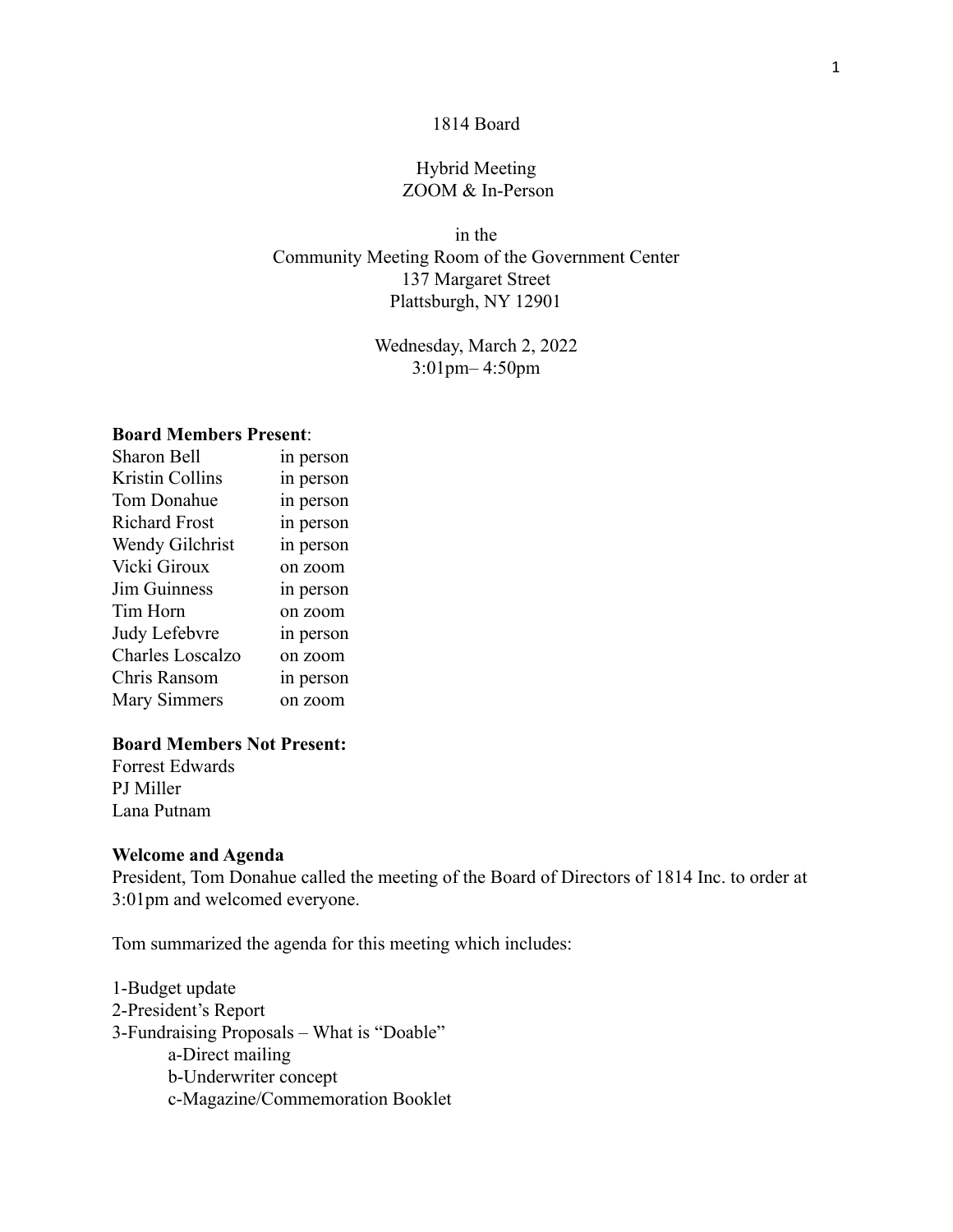### 1814 Board

# Hybrid Meeting ZOOM & In-Person

in the Community Meeting Room of the Government Center 137 Margaret Street Plattsburgh, NY 12901

> Wednesday, March 2, 2022 3:01pm– 4:50pm

## **Board Members Present**:

| <b>Sharon Bell</b>     | in person |
|------------------------|-----------|
| <b>Kristin Collins</b> | in person |
| Tom Donahue            | in person |
| <b>Richard Frost</b>   | in person |
| Wendy Gilchrist        | in person |
| Vicki Giroux           | on zoom   |
| <b>Jim Guinness</b>    | in person |
| Tim Horn               | on zoom   |
| Judy Lefebvre          | in person |
| Charles Loscalzo       | on zoom   |
| Chris Ransom           | in person |
| <b>Mary Simmers</b>    | on zoom   |

# **Board Members Not Present:**

Forrest Edwards PJ Miller Lana Putnam

#### **Welcome and Agenda**

President, Tom Donahue called the meeting of the Board of Directors of 1814 Inc. to order at 3:01pm and welcomed everyone.

Tom summarized the agenda for this meeting which includes:

1-Budget update 2-President's Report 3-Fundraising Proposals – What is "Doable" a-Direct mailing b-Underwriter concept c-Magazine/Commemoration Booklet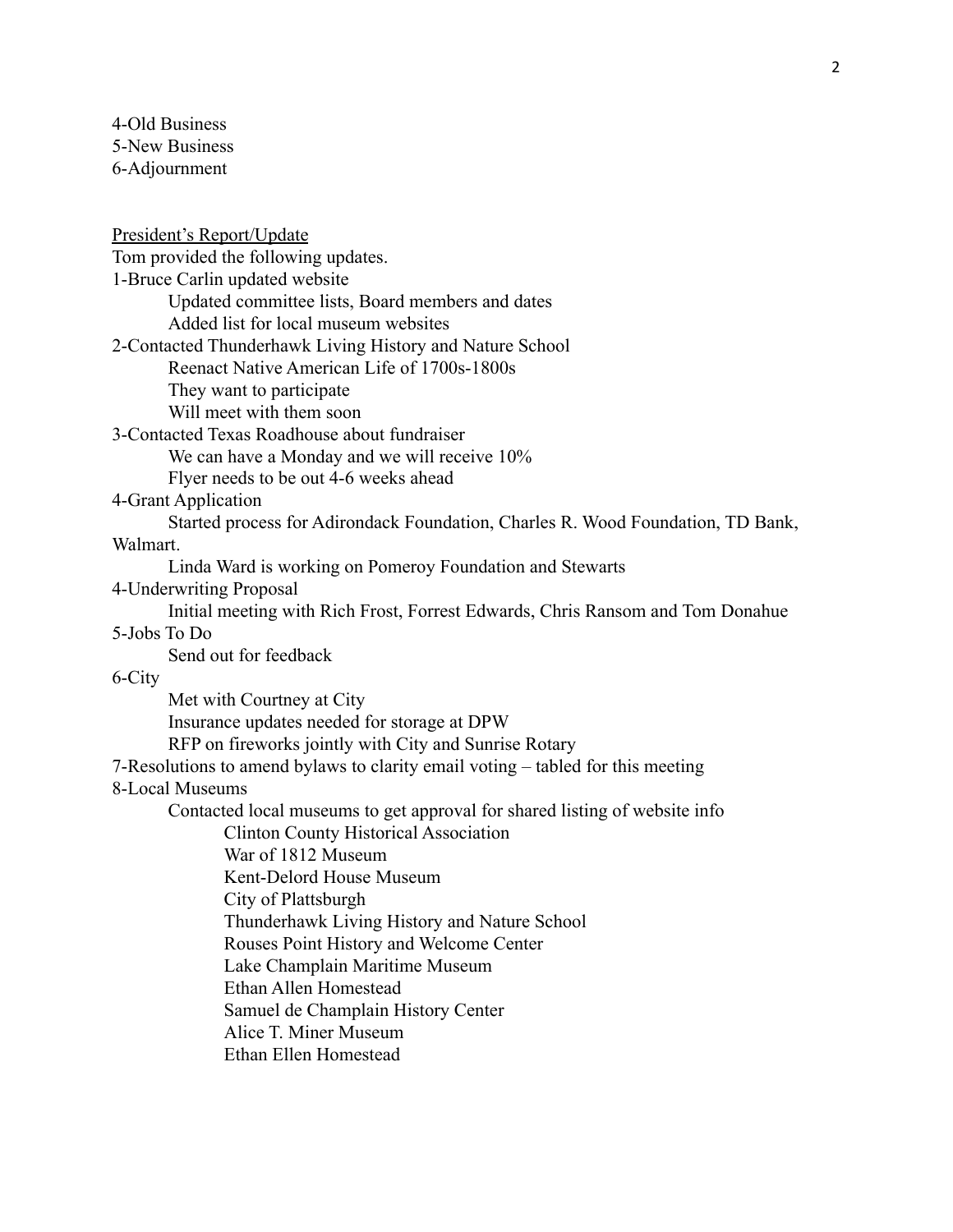4-Old Business 5-New Business 6-Adjournment

President's Report/Update Tom provided the following updates. 1-Bruce Carlin updated website Updated committee lists, Board members and dates Added list for local museum websites 2-Contacted Thunderhawk Living History and Nature School Reenact Native American Life of 1700s-1800s They want to participate Will meet with them soon 3-Contacted Texas Roadhouse about fundraiser We can have a Monday and we will receive  $10\%$ Flyer needs to be out 4-6 weeks ahead 4-Grant Application Started process for Adirondack Foundation, Charles R. Wood Foundation, TD Bank, Walmart. Linda Ward is working on Pomeroy Foundation and Stewarts 4-Underwriting Proposal Initial meeting with Rich Frost, Forrest Edwards, Chris Ransom and Tom Donahue 5-Jobs To Do Send out for feedback 6-City Met with Courtney at City Insurance updates needed for storage at DPW RFP on fireworks jointly with City and Sunrise Rotary 7-Resolutions to amend bylaws to clarity email voting – tabled for this meeting 8-Local Museums Contacted local museums to get approval for shared listing of website info Clinton County Historical Association War of 1812 Museum Kent-Delord House Museum City of Plattsburgh Thunderhawk Living History and Nature School Rouses Point History and Welcome Center Lake Champlain Maritime Museum Ethan Allen Homestead Samuel de Champlain History Center Alice T. Miner Museum Ethan Ellen Homestead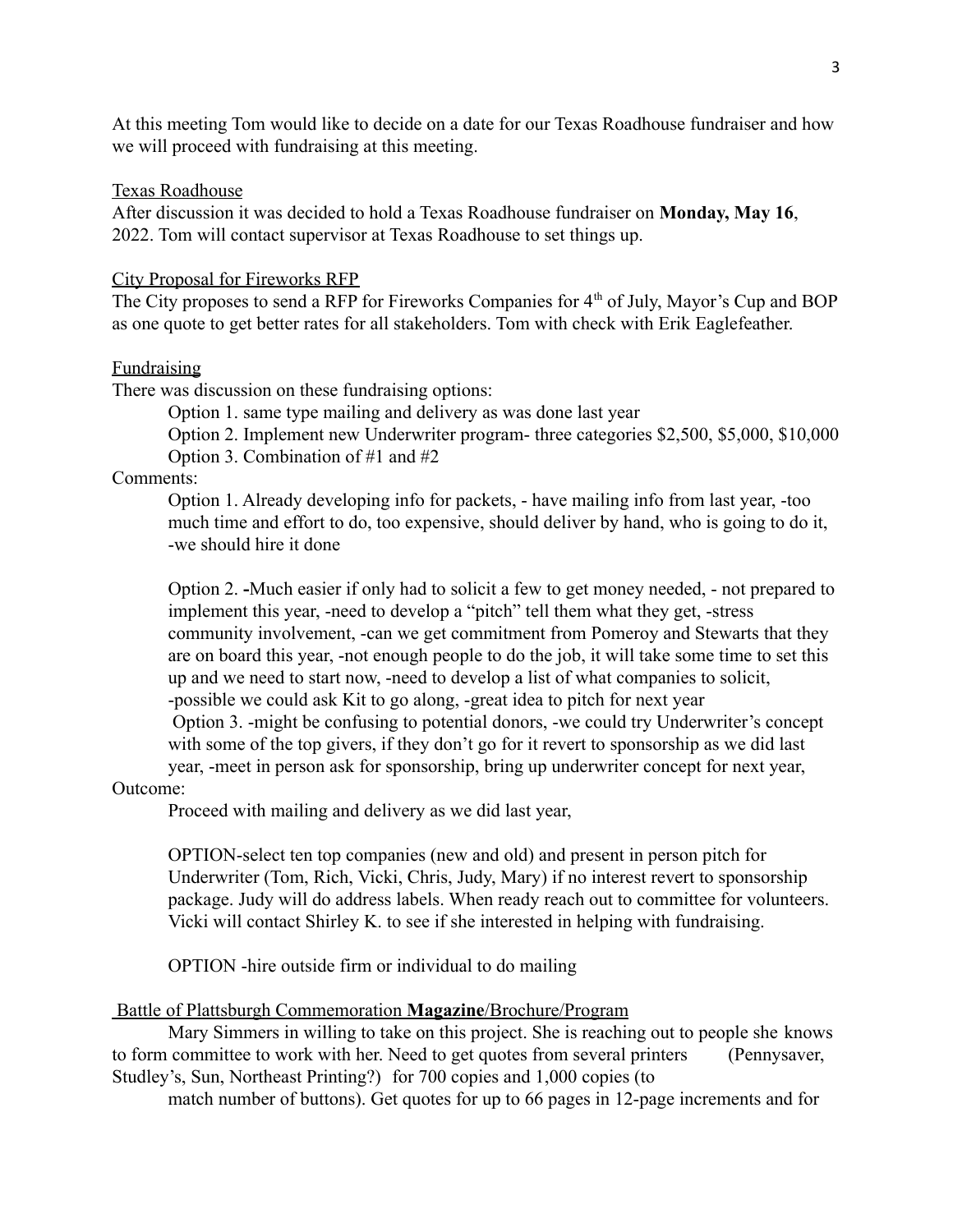At this meeting Tom would like to decide on a date for our Texas Roadhouse fundraiser and how we will proceed with fundraising at this meeting.

## Texas Roadhouse

After discussion it was decided to hold a Texas Roadhouse fundraiser on **Monday, May 16**, 2022. Tom will contact supervisor at Texas Roadhouse to set things up.

### City Proposal for Fireworks RFP

The City proposes to send a RFP for Fireworks Companies for 4<sup>th</sup> of July, Mayor's Cup and BOP as one quote to get better rates for all stakeholders. Tom with check with Erik Eaglefeather.

## Fundraising

There was discussion on these fundraising options:

Option 1. same type mailing and delivery as was done last year

Option 2. Implement new Underwriter program- three categories \$2,500, \$5,000, \$10,000 Option 3. Combination of #1 and #2

## Comments:

Option 1. Already developing info for packets, - have mailing info from last year, -too much time and effort to do, too expensive, should deliver by hand, who is going to do it, -we should hire it done

Option 2. **-**Much easier if only had to solicit a few to get money needed, - not prepared to implement this year, -need to develop a "pitch" tell them what they get, -stress community involvement, -can we get commitment from Pomeroy and Stewarts that they are on board this year, -not enough people to do the job, it will take some time to set this up and we need to start now, -need to develop a list of what companies to solicit, -possible we could ask Kit to go along, -great idea to pitch for next year Option 3. -might be confusing to potential donors, -we could try Underwriter's concept with some of the top givers, if they don't go for it revert to sponsorship as we did last year, -meet in person ask for sponsorship, bring up underwriter concept for next year,

### Outcome:

Proceed with mailing and delivery as we did last year,

OPTION-select ten top companies (new and old) and present in person pitch for Underwriter (Tom, Rich, Vicki, Chris, Judy, Mary) if no interest revert to sponsorship package. Judy will do address labels. When ready reach out to committee for volunteers. Vicki will contact Shirley K. to see if she interested in helping with fundraising.

OPTION -hire outside firm or individual to do mailing

#### Battle of Plattsburgh Commemoration **Magazine**/Brochure/Program

Mary Simmers in willing to take on this project. She is reaching out to people she knows to form committee to work with her. Need to get quotes from several printers (Pennysaver, Studley's, Sun, Northeast Printing?) for 700 copies and 1,000 copies (to

match number of buttons). Get quotes for up to 66 pages in 12-page increments and for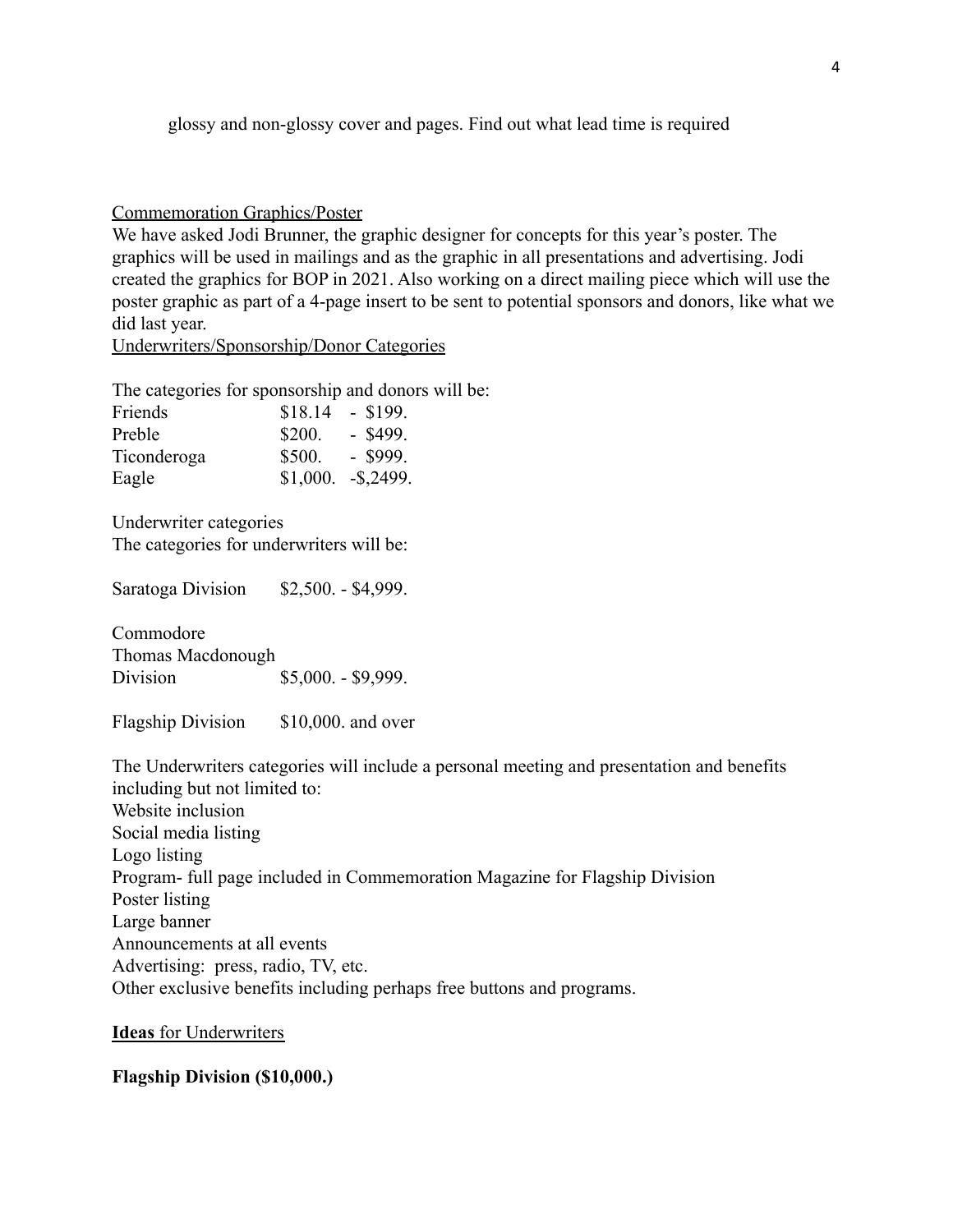glossy and non-glossy cover and pages. Find out what lead time is required

Commemoration Graphics/Poster

We have asked Jodi Brunner, the graphic designer for concepts for this year's poster. The graphics will be used in mailings and as the graphic in all presentations and advertising. Jodi created the graphics for BOP in 2021. Also working on a direct mailing piece which will use the poster graphic as part of a 4-page insert to be sent to potential sponsors and donors, like what we did last year.

Underwriters/Sponsorship/Donor Categories

The categories for sponsorship and donors will be:

| Friends     | \$18.14 | $-$ \$199.        |
|-------------|---------|-------------------|
| Preble      | \$200.  | $-$ \$499.        |
| Ticonderoga | \$500.  | $-$ \$999.        |
| Eagle       |         | $$1,000. -$2499.$ |

Underwriter categories The categories for underwriters will be:

Saratoga Division \$2,500. - \$4,999.

Commodore Thomas Macdonough Division \$5,000. - \$9,999.

Flagship Division \$10,000. and over

The Underwriters categories will include a personal meeting and presentation and benefits including but not limited to: Website inclusion Social media listing Logo listing Program- full page included in Commemoration Magazine for Flagship Division Poster listing Large banner Announcements at all events Advertising: press, radio, TV, etc. Other exclusive benefits including perhaps free buttons and programs.

**Ideas** for Underwriters

# **Flagship Division (\$10,000.)**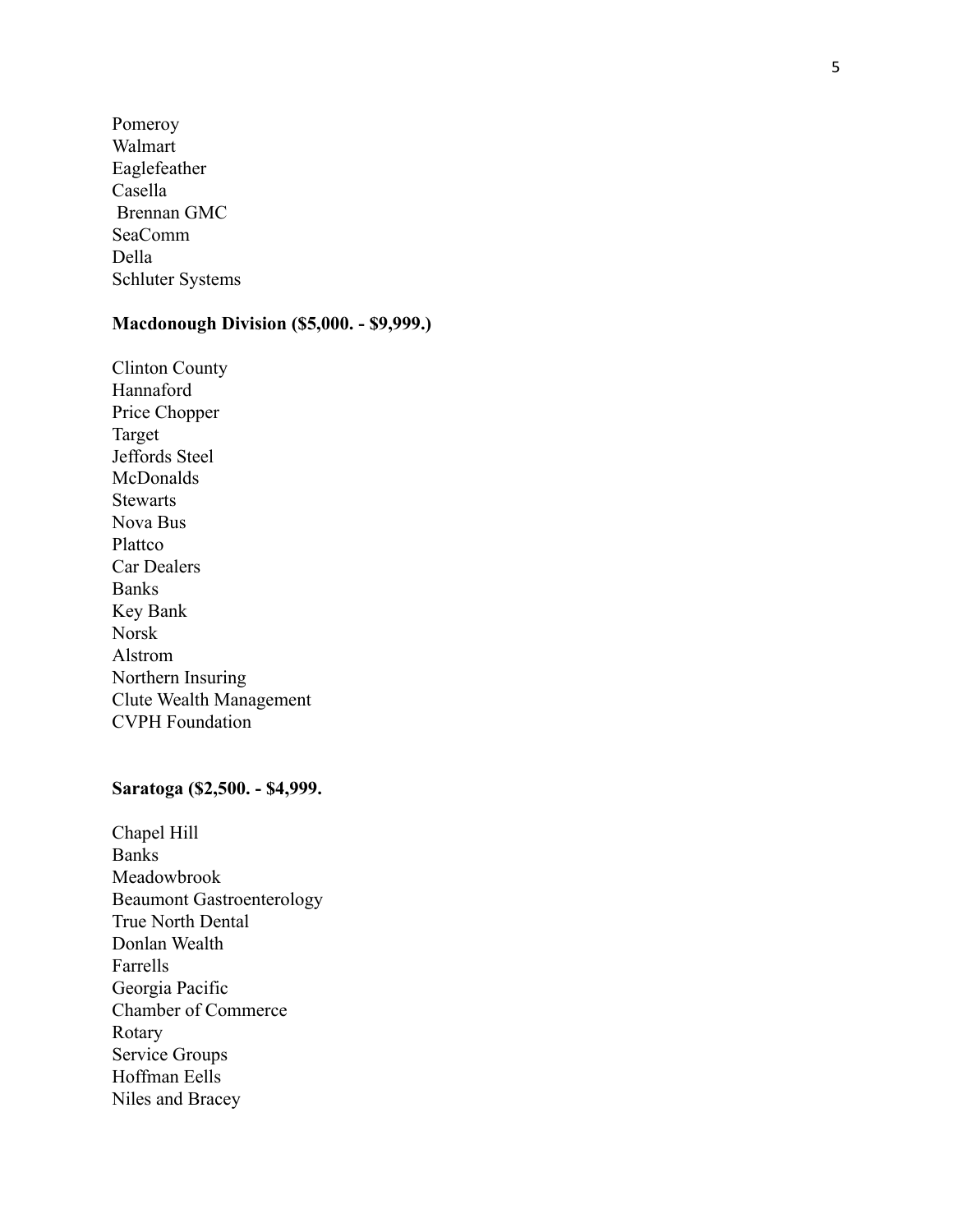Pomeroy Walmart Eaglefeather Casella Brennan GMC SeaComm Della Schluter Systems

# **Macdonough Division (\$5,000. - \$9,999.)**

Clinton County Hannaford Price Chopper Target Jeffords Steel **McDonalds Stewarts** Nova Bus Plattco Car Dealers Banks Key Bank Norsk Alstrom Northern Insuring Clute Wealth Management CVPH Foundation

# **Saratoga (\$2,500. - \$4,999.**

Chapel Hill Banks Meadowbrook Beaumont Gastroenterology True North Dental Donlan Wealth Farrells Georgia Pacific Chamber of Commerce Rotary Service Groups Hoffman Eells Niles and Bracey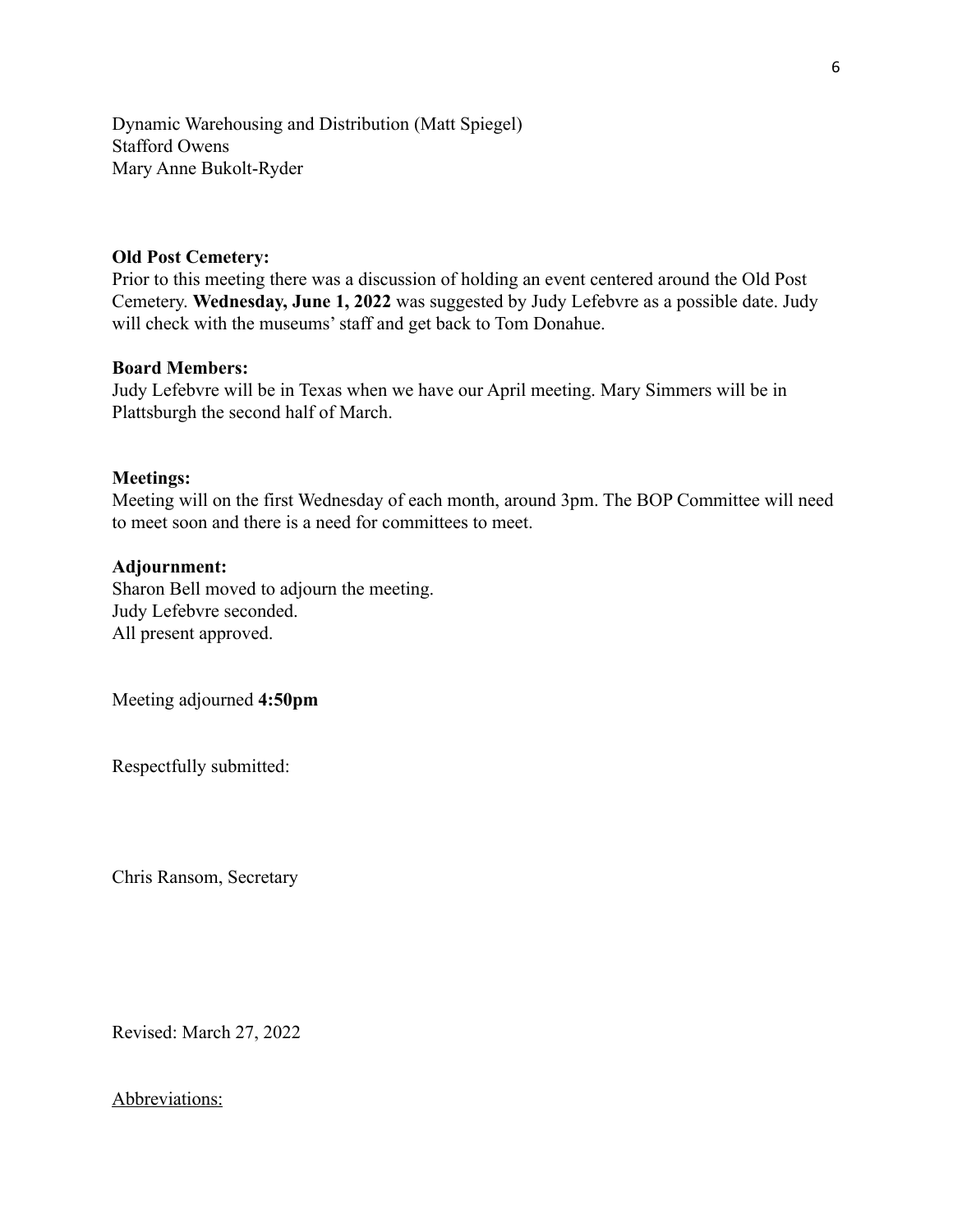Dynamic Warehousing and Distribution (Matt Spiegel) Stafford Owens Mary Anne Bukolt-Ryder

# **Old Post Cemetery:**

Prior to this meeting there was a discussion of holding an event centered around the Old Post Cemetery. **Wednesday, June 1, 2022** was suggested by Judy Lefebvre as a possible date. Judy will check with the museums' staff and get back to Tom Donahue.

## **Board Members:**

Judy Lefebvre will be in Texas when we have our April meeting. Mary Simmers will be in Plattsburgh the second half of March.

## **Meetings:**

Meeting will on the first Wednesday of each month, around 3pm. The BOP Committee will need to meet soon and there is a need for committees to meet.

## **Adjournment:**

Sharon Bell moved to adjourn the meeting. Judy Lefebvre seconded. All present approved.

Meeting adjourned **4:50pm**

Respectfully submitted:

Chris Ransom, Secretary

Revised: March 27, 2022

# Abbreviations: